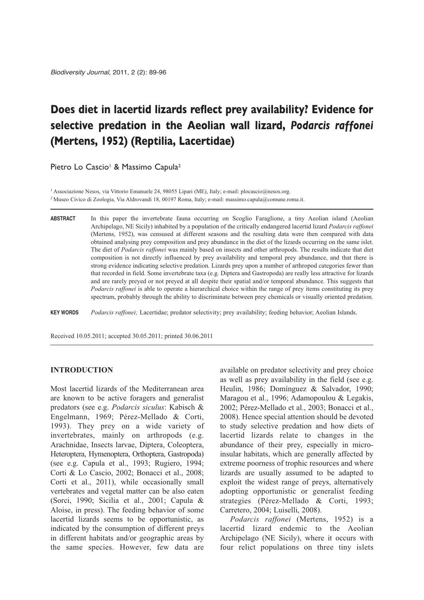# **Does diet in lacertid lizards reflect prey availability? Evidence for selective predation in the Aeolian wall lizard,** *Podarcis raffonei* **(Mertens, 1952) (Reptilia, Lacertidae)**

Pietro Lo Cascio<sup>1</sup> & Massimo Capula<sup>2</sup>

1 Associazione Nesos, via Vittorio Emanuele 24, 98055 Lipari (ME), Italy; e-mail: plocascio@nesos.org. 2 Museo Civico di Zoologia, Via Aldrovandi 18, 00197 Roma, Italy; e-mail: massimo.capula@comune.roma.it.

**ABSTRACT** In this paper the invertebrate fauna occurring on Scoglio Faraglione, a tiny Aeolian island (Aeolian Archipelago, NE Sicily) inhabited by a population of the critically endangered lacertid lizard *Podarcis raffonei* (Mertens, 1952), was censused at different seasons and the resulting data were then compared with data obtained analysing prey composition and prey abundance in the diet of the lizards occurring on the same islet. The diet of *Podarcis raffonei* was mainly based on insects and other arthropods. The results indicate that diet composition is not directly influenced by prey availability and temporal prey abundance, and that there is strong evidence indicating selective predation. Lizards prey upon a number of arthropod categories fewer than that recorded in field. Some invertebrate taxa (e.g. Diptera and Gastropoda) are really less attractive for lizards and are rarely preyed or not preyed at all despite their spatial and/or temporal abundance. This suggests that *Podarcis raffonei* is able to operate a hierarchical choice within the range of prey items constituting its prey spectrum, probably through the ability to discriminate between prey chemicals or visually oriented predation.

**KEY WORDS** *Podarcis raffonei;* Lacertidae; predator selectivity; prey availability; feeding behavior; Aeolian Islands.

Received 10.05.2011; accepted 30.05.2011; printed 30.06.2011

# **INTRODUCTION**

Most lacertid lizards of the Mediterranean area are known to be active foragers and generalist predators (see e.g. *Podarcis siculus*: Kabisch & Engelmann, 1969; Pérez-Mellado & Corti, 1993). They prey on a wide variety of invertebrates, mainly on arthropods (e.g. Arachnidae, Insects larvae, Diptera, Coleoptera, Heteroptera, Hymenoptera, Orthoptera, Gastropoda) (see e.g. Capula et al., 1993; Rugiero, 1994; Corti & Lo Cascio, 2002; Bonacci et al., 2008; Corti et al., 2011), while occasionally small vertebrates and vegetal matter can be also eaten (Sorci, 1990; Sicilia et al., 2001; Capula & Aloise, in press). The feeding behavior of some lacertid lizards seems to be opportunistic, as indicated by the consumption of different preys in different habitats and/or geographic areas by the same species. However, few data are available on predator selectivity and prey choice as well as prey availability in the field (see e.g. Heulin, 1986; Domínguez & Salvador, 1990; Maragou et al., 1996; Adamopoulou & Legakis, 2002; Pérez-Mellado et al., 2003; Bonacci et al., 2008). Hence special attention should be devoted to study selective predation and how diets of lacertid lizards relate to changes in the abundance of their prey, especially in microinsular habitats, which are generally affected by extreme poorness of trophic resources and where lizards are usually assumed to be adapted to exploit the widest range of preys, alternatively adopting opportunistic or generalist feeding strategies (Pérez-Mellado & Corti, 1993; Carretero, 2004; Luiselli, 2008).

*Podarcis raffonei* (Mertens, 1952) is a lacertid lizard endemic to the Aeolian Archipelago (NE Sicily), where it occurs with four relict populations on three tiny islets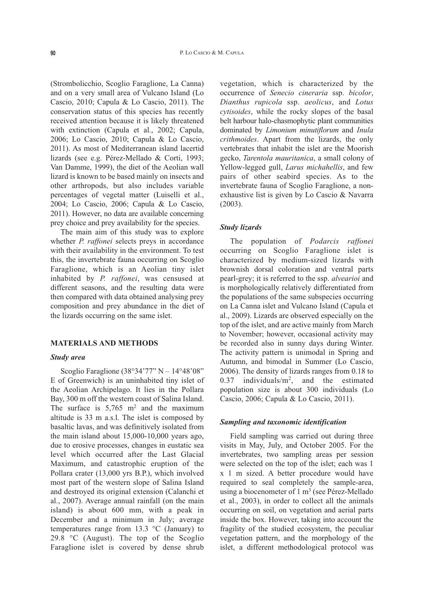(Strombolicchio, Scoglio Faraglione, La Canna) and on a very small area of Vulcano Island (Lo Cascio, 2010; Capula & Lo Cascio, 2011). The conservation status of this species has recently received attention because it is likely threatened with extinction (Capula et al., 2002; Capula, 2006; Lo Cascio, 2010; Capula & Lo Cascio, 2011). As most of Mediterranean island lacertid lizards (see e.g. Pérez-Mellado & Corti, 1993; Van Damme, 1999), the diet of the Aeolian wall lizard is known to be based mainly on insects and other arthropods, but also includes variable percentages of vegetal matter (Luiselli et al., 2004; Lo Cascio, 2006; Capula & Lo Cascio, 2011). However, no data are available concerning prey choice and prey availability for the species.

The main aim of this study was to explore whether *P. raffonei* selects preys in accordance with their availability in the environment. To test this, the invertebrate fauna occurring on Scoglio Faraglione, which is an Aeolian tiny islet inhabited by *P. raffonei*, was censused at different seasons, and the resulting data were then compared with data obtained analysing prey composition and prey abundance in the diet of the lizards occurring on the same islet.

#### **MATERIALS AND METHODS**

#### *Study area*

Scoglio Faraglione  $(38°34'77" N - 14°48'08"$ E of Greenwich) is an uninhabited tiny islet of the Aeolian Archipelago. It lies in the Pollara Bay, 300 m off the western coast of Salina Island. The surface is  $5,765$  m<sup>2</sup> and the maximum altitude is 33 m a.s.l. The islet is composed by basaltic lavas, and was definitively isolated from the main island about 15,000-10,000 years ago, due to erosive processes, changes in eustatic sea level which occurred after the Last Glacial Maximum, and catastrophic eruption of the Pollara crater (13,000 yrs B.P.), which involved most part of the western slope of Salina Island and destroyed its original extension (Calanchi et al., 2007). Average annual rainfall (on the main island) is about 600 mm, with a peak in December and a minimum in July; average temperatures range from 13.3  $\degree$ C (January) to 29.8 °C (August). The top of the Scoglio Faraglione islet is covered by dense shrub

vegetation, which is characterized by the occurrence of *Senecio cineraria* ssp. *bicolor*, *Dianthus rupicola* ssp. *aeolicus*, and *Lotus cytisoides*, while the rocky slopes of the basal belt harbour halo-chasmophytic plant communities dominated by *Limonium minutiflorum* and *Inula crithmoides*. Apart from the lizards, the only vertebrates that inhabit the islet are the Moorish gecko, *Tarentola mauritanica*, a small colony of Yellow-legged gull, *Larus michahellis*, and few pairs of other seabird species. As to the invertebrate fauna of Scoglio Faraglione, a nonexhaustive list is given by Lo Cascio & Navarra (2003).

#### *Study lizards*

The population of *Podarcis raffonei* occurring on Scoglio Faraglione islet is characterized by medium-sized lizards with brownish dorsal coloration and ventral parts pearl-grey; it is referred to the ssp. *alvearioi* and is morphologically relatively differentiated from the populations of the same subspecies occurring on La Canna islet and Vulcano Island (Capula et al., 2009). Lizards are observed especially on the top of the islet, and are active mainly from March to November; however, occasional activity may be recorded also in sunny days during Winter. The activity pattern is unimodal in Spring and Autumn, and bimodal in Summer (Lo Cascio, 2006). The density of lizards ranges from 0.18 to 0.37 individuals/m2, and the estimated population size is about 300 individuals (Lo Cascio, 2006; Capula & Lo Cascio, 2011).

#### *Sampling and taxonomic identification*

Field sampling was carried out during three visits in May, July, and October 2005. For the invertebrates, two sampling areas per session were selected on the top of the islet; each was 1 x 1 m sized. A better procedure would have required to seal completely the sample-area, using a biocenometer of  $1 \text{ m}^3$  (see Pérez-Mellado et al., 2003), in order to collect all the animals occurring on soil, on vegetation and aerial parts inside the box. However, taking into account the fragility of the studied ecosystem, the peculiar vegetation pattern, and the morphology of the islet, a different methodological protocol was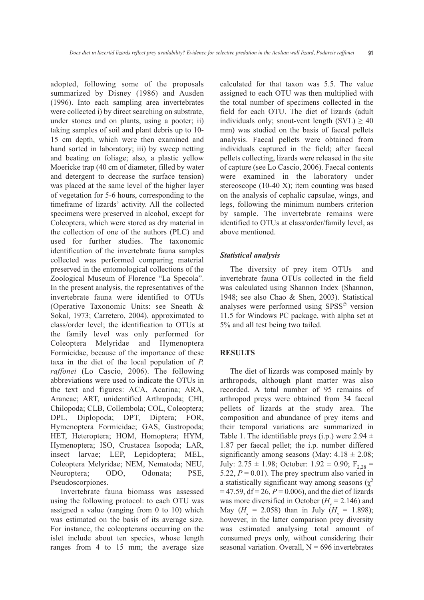adopted, following some of the proposals summarized by Disney (1986) and Ausden (1996). Into each sampling area invertebrates were collected i) by direct searching on substrate, under stones and on plants, using a pooter; ii) taking samples of soil and plant debris up to 10- 15 cm depth, which were then examined and hand sorted in laboratory; iii) by sweep netting and beating on foliage; also, a plastic yellow Moericke trap (40 cm of diameter, filled by water and detergent to decrease the surface tension) was placed at the same level of the higher layer of vegetation for 5-6 hours, corresponding to the timeframe of lizards' activity. All the collected specimens were preserved in alcohol, except for Coleoptera, which were stored as dry material in the collection of one of the authors (PLC) and used for further studies. The taxonomic identification of the invertebrate fauna samples collected was performed comparing material preserved in the entomological collections of the Zoological Museum of Florence "La Specola". In the present analysis, the representatives of the invertebrate fauna were identified to OTUs (Operative Taxonomic Units: see Sneath & Sokal, 1973; Carretero, 2004), approximated to class/order level; the identification to OTUs at the family level was only performed for Coleoptera Melyridae and Hymenoptera Formicidae, because of the importance of these taxa in the diet of the local population of *P. raffonei* (Lo Cascio, 2006). The following abbreviations were used to indicate the OTUs in the text and figures: ACA, Acarina; ARA, Araneae; ART, unidentified Arthropoda; CHI, Chilopoda; CLB, Collembola; COL, Coleoptera; DPL, Diplopoda; DPT, Diptera; FOR, Hymenoptera Formicidae; GAS, Gastropoda; HET, Heteroptera; HOM, Homoptera; HYM, Hymenoptera; ISO, Crustacea Isopoda; LAR, insect larvae; LEP, Lepidoptera; MEL, Coleoptera Melyridae; NEM, Nematoda; NEU, Neuroptera; ODO, Odonata; PSE, Pseudoscorpiones.

Invertebrate fauna biomass was assessed using the following protocol: to each OTU was assigned a value (ranging from 0 to 10) which was estimated on the basis of its average size. For instance, the coleopterans occurring on the islet include about ten species, whose length ranges from 4 to 15 mm; the average size calculated for that taxon was 5.5. The value assigned to each OTU was then multiplied with the total number of specimens collected in the field for each OTU. The diet of lizards (adult individuals only; snout-vent length (SVL)  $\geq 40$ mm) was studied on the basis of faecal pellets analysis. Faecal pellets were obtained from individuals captured in the field; after faecal pellets collecting, lizards were released in the site of capture (see Lo Cascio, 2006). Faecal contents were examined in the laboratory under stereoscope (10-40 X); item counting was based on the analysis of cephalic capsulae, wings, and legs, following the minimum numbers criterion by sample. The invertebrate remains were identified to OTUs at class/order/family level, as above mentioned.

## *Statistical analysis*

The diversity of prey item OTUs and invertebrate fauna OTUs collected in the field was calculated using Shannon Index (Shannon, 1948; see also Chao & Shen, 2003). Statistical analyses were performed using SPSS© version 11.5 for Windows PC package, with alpha set at 5% and all test being two tailed.

## **RESULTS**

The diet of lizards was composed mainly by arthropods, although plant matter was also recorded. A total number of 95 remains of arthropod preys were obtained from 34 faecal pellets of lizards at the study area. The composition and abundance of prey items and their temporal variations are summarized in Table 1. The identifiable preys (i.p.) were  $2.94 \pm 1$ 1.87 per faecal pellet; the i.p. number differed significantly among seasons (May:  $4.18 \pm 2.08$ ; July: 2.75  $\pm$  1.98; October: 1.92  $\pm$  0.90; F<sub>2,28</sub> = 5.22,  $P = 0.01$ ). The prey spectrum also varied in a statistically significant way among seasons  $(\chi^2)$  $= 47.59$ , df  $= 26$ ,  $P = 0.006$ ), and the diet of lizards was more diversified in October  $(H_s = 2.146)$  and May  $(H_s = 2.058)$  than in July  $(H_s = 1.898)$ ; however, in the latter comparison prey diversity was estimated analysing total amount of consumed preys only, without considering their seasonal variation. Overall,  $N = 696$  invertebrates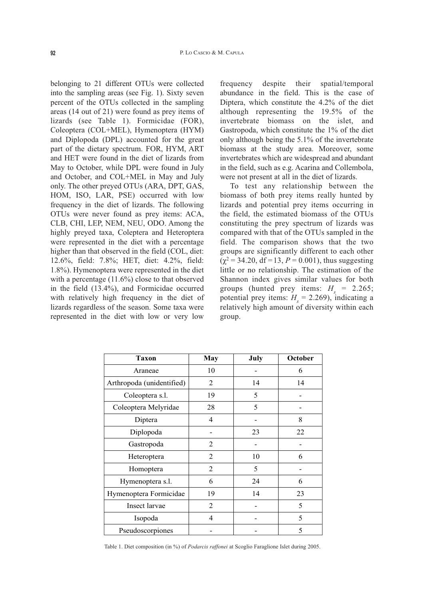belonging to 21 different OTUs were collected into the sampling areas (see Fig. 1). Sixty seven percent of the OTUs collected in the sampling areas (14 out of 21) were found as prey items of lizards (see Table 1). Formicidae (FOR), Coleoptera (COL+MEL), Hymenoptera (HYM) and Diplopoda (DPL) accounted for the great part of the dietary spectrum. FOR, HYM, ART and HET were found in the diet of lizards from May to October, while DPL were found in July and October, and COL+MEL in May and July only. The other preyed OTUs (ARA, DPT, GAS, HOM, ISO, LAR, PSE) occurred with low frequency in the diet of lizards. The following OTUs were never found as prey items: ACA, CLB, CHI, LEP, NEM, NEU, ODO. Among the highly preyed taxa, Coleptera and Heteroptera were represented in the diet with a percentage higher than that observed in the field (COL, diet: 12.6%, field: 7.8%; HET, diet: 4.2%, field: 1.8%). Hymenoptera were represented in the diet with a percentage (11.6%) close to that observed in the field (13.4%), and Formicidae occurred with relatively high frequency in the diet of lizards regardless of the season. Some taxa were represented in the diet with low or very low

frequency despite their spatial/temporal abundance in the field. This is the case of Diptera, which constitute the 4.2% of the diet although representing the 19.5% of the invertebrate biomass on the islet, and Gastropoda, which constitute the 1% of the diet only although being the 5.1% of the invertebrate biomass at the study area. Moreover, some invertebrates which are widespread and abundant in the field, such as e.g. Acarina and Collembola, were not present at all in the diet of lizards.

To test any relationship between the biomass of both prey items really hunted by lizards and potential prey items occurring in the field, the estimated biomass of the OTUs constituting the prey spectrum of lizards was compared with that of the OTUs sampled in the field. The comparison shows that the two groups are significantly different to each other  $(\chi^2 = 34.20, df = 13, P = 0.001)$ , thus suggesting little or no relationship. The estimation of the Shannon index gives similar values for both groups (hunted prey items:  $H_s = 2.265$ ; potential prey items:  $H<sub>s</sub> = 2.269$ ), indicating a relatively high amount of diversity within each group.

| <b>Taxon</b>              | May            | July | October |
|---------------------------|----------------|------|---------|
| Araneae                   | 10             |      | 6       |
| Arthropoda (unidentified) | 2              | 14   | 14      |
| Coleoptera s.l.           | 19             | 5    |         |
| Coleoptera Melyridae      | 28             | 5    |         |
| Diptera                   | $\overline{4}$ |      | 8       |
| Diplopoda                 |                | 23   | 22      |
| Gastropoda                | 2              |      |         |
| Heteroptera               | $\mathfrak{D}$ | 10   | 6       |
| Homoptera                 | 2              | 5    |         |
| Hymenoptera s.l.          | 6              | 24   | 6       |
| Hymenoptera Formicidae    | 19             | 14   | 23      |
| Insect larvae             | $\overline{2}$ |      | 5       |
| Isopoda                   | $\overline{4}$ |      | 5       |
| Pseudoscorpiones          |                |      | 5       |

Table 1. Diet composition (in %) of *Podarcis raffonei* at Scoglio Faraglione Islet during 2005.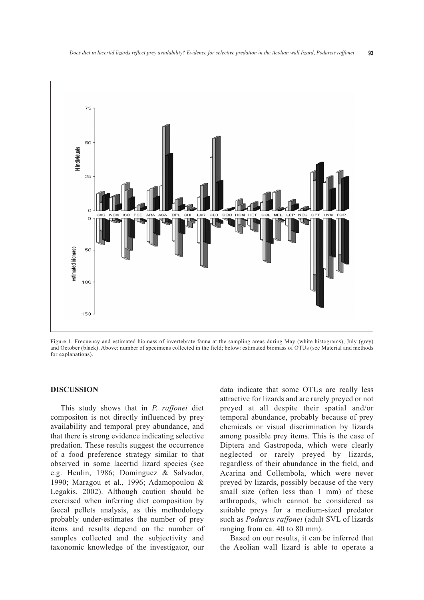

Figure 1. Frequency and estimated biomass of invertebrate fauna at the sampling areas during May (white histograms), July (grey) and October (black). Above: number of specimens collected in the field; below: estimated biomass of OTUs (see Material and methods for explanations).

#### **DISCUSSION**

This study shows that in *P. raffonei* diet compositon is not directly influenced by prey availability and temporal prey abundance, and that there is strong evidence indicating selective predation. These results suggest the occurrence of a food preference strategy similar to that observed in some lacertid lizard species (see e.g. Heulin, 1986; Domínguez & Salvador, 1990; Maragou et al., 1996; Adamopoulou & Legakis, 2002). Although caution should be exercised when inferring diet composition by faecal pellets analysis, as this methodology probably under-estimates the number of prey items and results depend on the number of samples collected and the subjectivity and taxonomic knowledge of the investigator, our

data indicate that some OTUs are really less attractive for lizards and are rarely preyed or not preyed at all despite their spatial and/or temporal abundance, probably because of prey chemicals or visual discrimination by lizards among possible prey items. This is the case of Diptera and Gastropoda, which were clearly neglected or rarely preyed by lizards, regardless of their abundance in the field, and Acarina and Collembola, which were never preyed by lizards, possibly because of the very small size (often less than 1 mm) of these arthropods, which cannot be considered as suitable preys for a medium-sized predator such as *Podarcis raffonei* (adult SVL of lizards ranging from ca. 40 to 80 mm).

Based on our results, it can be inferred that the Aeolian wall lizard is able to operate a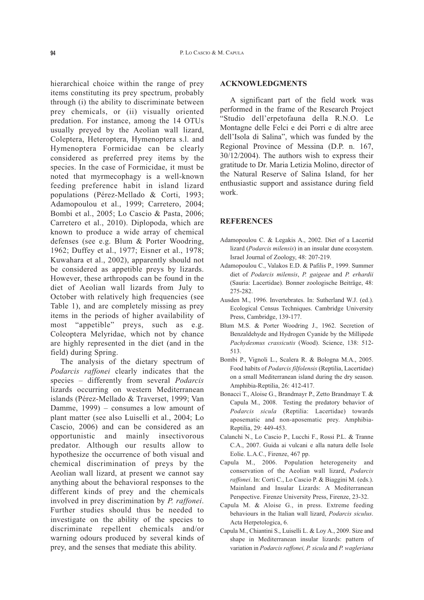hierarchical choice within the range of prey items constituting its prey spectrum, probably through (i) the ability to discriminate between prey chemicals, or (ii) visually oriented predation. For instance, among the 14 OTUs usually preyed by the Aeolian wall lizard, Coleptera, Heteroptera, Hymenoptera s.l. and Hymenoptera Formicidae can be clearly considered as preferred prey items by the species. In the case of Formicidae, it must be noted that myrmecophagy is a well-known feeding preference habit in island lizard populations (Pérez-Mellado & Corti, 1993; Adamopoulou et al., 1999; Carretero, 2004; Bombi et al., 2005; Lo Cascio & Pasta, 2006; Carretero et al., 2010). Diplopoda, which are known to produce a wide array of chemical defenses (see e.g. Blum & Porter Woodring, 1962; Duffey et al., 1977; Eisner et al., 1978; Kuwahara et al., 2002), apparently should not be considered as appetible preys by lizards. However, these arthropods can be found in the diet of Aeolian wall lizards from July to October with relatively high frequencies (see Table 1), and are completely missing as prey items in the periods of higher availability of most "appetible" preys, such as e.g. Coleoptera Melyridae, which not by chance are highly represented in the diet (and in the field) during Spring.

The analysis of the dietary spectrum of *Podarcis raffonei* clearly indicates that the species – differently from several *Podarcis* lizards occurring on western Mediterranean islands (Pérez-Mellado & Traverset, 1999; Van Damme, 1999) – consumes a low amount of plant matter (see also Luiselli et al., 2004; Lo Cascio, 2006) and can be considered as an opportunistic and mainly insectivorous predator. Although our results allow to hypothesize the occurrence of both visual and chemical discrimination of preys by the Aeolian wall lizard, at present we cannot say anything about the behavioral responses to the different kinds of prey and the chemicals involved in prey discrimination by *P. raffonei*. Further studies should thus be needed to investigate on the ability of the species to discriminate repellent chemicals and/or warning odours produced by several kinds of prey, and the senses that mediate this ability.

## **ACKNOWLEDGMENTS**

A significant part of the field work was performed in the frame of the Research Project "Studio dell'erpetofauna della R.N.O. Le Montagne delle Felci e dei Porri e di altre aree dell'Isola di Salina", which was funded by the Regional Province of Messina (D.P. n. 167, 30/12/2004). The authors wish to express their gratitude to Dr. Maria Letizia Molino, director of the Natural Reserve of Salina Island, for her enthusiastic support and assistance during field work.

## **REFERENCES**

- Adamopoulou C. & Legakis A., 2002. Diet of a Lacertid lizard (*Podarcis milensis*) in an insular dune ecosystem. Israel Journal of Zoology, 48: 207-219.
- Adamopoulou C., Valakos E.D. & Pafilis P., 1999. Summer diet of *Podarcis milensis*, *P. gaigeae* and *P. erhardii* (Sauria: Lacertidae). Bonner zoologische Beiträge, 48: 275-282.
- Ausden M., 1996. Invertebrates. In: Sutherland W.J. (ed.). Ecological Census Techniques. Cambridge University Press, Cambridge, 139-177.
- Blum M.S. & Porter Woodring J., 1962. Secretion of Benzaldehyde and Hydrogen Cyanide by the Millipede *Pachydesmus crassicutis* (Wood). Science, 138: 512- 513.
- Bombi P., Vignoli L., Scalera R. & Bologna M.A., 2005. Food habits of *Podarcis filfolensis* (Reptilia, Lacertidae) on a small Mediterranean island during the dry season. Amphibia-Reptilia, 26: 412-417.
- Bonacci T., Aloise G., Brandmayr P., Zetto Brandmayr T. & Capula M., 2008. Testing the predatory behavior of *Podarcis sicula* (Reptilia: Lacertidae) towards aposematic and non-aposematic prey. Amphibia-Reptilia, 29: 449-453.
- Calanchi N., Lo Cascio P., Lucchi F., Rossi P.L. & Tranne C.A., 2007. Guida ai vulcani e alla natura delle Isole Eolie. L.A.C., Firenze, 467 pp.
- Capula M., 2006. Population heterogeneity and conservation of the Aeolian wall lizard, *Podarcis raffonei*. In: Corti C., Lo Cascio P. & Biaggini M. (eds.). Mainland and Insular Lizards: A Mediterranean Perspective. Firenze University Press, Firenze, 23-32.
- Capula M. & Aloise G., in press. Extreme feeding behaviours in the Italian wall lizard, *Podarcis siculus*. Acta Herpetologica, 6.
- Capula M., Chiantini S., Luiselli L. & Loy A., 2009. Size and shape in Mediterranean insular lizards: pattern of variation in *Podarcis raffonei, P. sicula* and *P. wagleriana*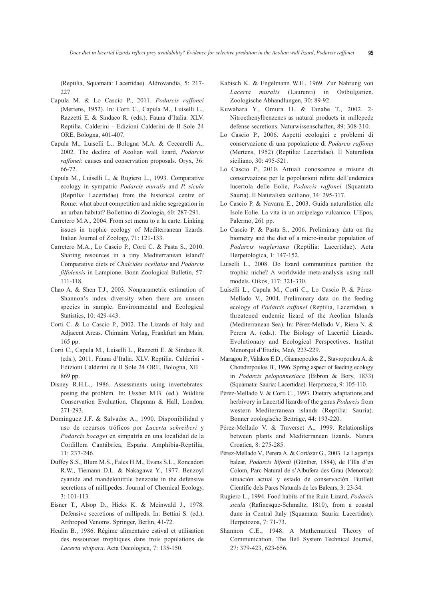(Reptilia, Squamata: Lacertidae). Aldrovandia, 5: 217- 227.

- Capula M. & Lo Cascio P., 2011. *Podarcis raffonei* (Mertens, 1952). In: Corti C., Capula M., Luiselli L., Razzetti E. & Sindaco R. (eds.). Fauna d'Italia. XLV. Reptilia. Calderini - Edizioni Calderini de Il Sole 24 ORE, Bologna, 401-407.
- Capula M., Luiselli L., Bologna M.A. & Ceccarelli A., 2002. The decline of Aeolian wall lizard, *Podarcis raffonei*: causes and conservation proposals. Oryx, 36: 66-72.
- Capula M., Luiselli L. & Rugiero L., 1993. Comparative ecology in sympatric *Podarcis muralis* and *P. sicula* (Reptilia: Lacertidae) from the historical centre of Rome: what about competition and niche segregation in an urban habitat? Bollettino di Zoologia, 60: 287-291.
- Carretero M.A., 2004. From set menu to a la carte. Linking issues in trophic ecology of Mediterranean lizards. Italian Journal of Zoology, 71: 121-133.
- Carretero M.A., Lo Cascio P., Corti C. & Pasta S., 2010. Sharing resources in a tiny Mediterranean island? Comparative diets of *Chalcides ocellatus* and *Podarcis filfolensis* in Lampione. Bonn Zoological Bulletin, 57: 111-118.
- Chao A. & Shen T.J., 2003. Nonparametric estimation of Shannon's index diversity when there are unseen species in sample. Environmental and Ecological Statistics, 10: 429-443.
- Corti C. & Lo Cascio P., 2002. The Lizards of Italy and Adjacent Areas. Chimaira Verlag, Frankfurt am Main, 165 pp.
- Corti C., Capula M., Luiselli L., Razzetti E. & Sindaco R. (eds.), 2011. Fauna d'Italia. XLV. Reptilia. Calderini - Edizioni Calderini de Il Sole 24 ORE, Bologna, XII + 869 pp.
- Disney R.H.L., 1986. Assessments using invertebrates: posing the problem. In: Ussher M.B. (ed.). Wildlife Conservation Evaluation. Chapman & Hall, London, 271-293.
- Domínguez J.F. & Salvador A., 1990. Disponibilidad y uso de recursos tróficos por *Lacerta schreiberi* y *Podarcis bocagei* en simpatría en una localidad de la Cordillera Cantábrica, España. Amphibia-Reptilia, 11: 237-246.
- Duffey S.S., Blum M.S., Fales H.M., Evans S.L., Roncadori R.W., Tiemann D.L. & Nakagawa Y., 1977. Benzoyl cyanide and mandelonitrile benzoate in the defensive secretions of millipedes. Journal of Chemical Ecology, 3: 101-113.
- Eisner T., Alsop D., Hicks K. & Meinwald J., 1978. Defensive secretions of millipeds. In: Bettini S. (ed.). Arthropod Venoms. Springer, Berlin, 41-72.
- Heulin B., 1986. Régime alimentaire estival et utilisation des ressources trophiques dans trois populations de *Lacerta vivipara*. Acta Oecologica, 7: 135-150.
- Kabisch K. & Engelmann W.E., 1969. Zur Nahrung von *Lacerta muralis* (Laurenti) in Ostbulgarien. Zoologische Abhandlungen, 30: 89-92.
- Kuwahara Y., Omura H. & Tanabe T., 2002. 2- Nitroethenylbenzenes as natural products in millepede defense secretions. Naturwissenschaften, 89: 308-310.
- Lo Cascio P., 2006. Aspetti ecologici e problemi di conservazione di una popolazione di *Podarcis raffonei* (Mertens, 1952) (Reptilia: Lacertidae). Il Naturalista siciliano, 30: 495-521.
- Lo Cascio P., 2010. Attuali conoscenze e misure di conservazione per le popolazioni relitte dell'endemica lucertola delle Eolie, *Podarcis raffonei* (Squamata Sauria). Il Naturalista siciliano, 34: 295-317.
- Lo Cascio P. & Navarra E., 2003. Guida naturalistica alle Isole Eolie. La vita in un arcipelago vulcanico. L'Epos, Palermo, 261 pp.
- Lo Cascio P. & Pasta S., 2006. Preliminary data on the biometry and the diet of a micro-insular population of *Podarcis wagleriana* (Reptilia: Lacertidae). Acta Herpetologica, 1: 147-152.
- Luiselli L., 2008. Do lizard communities partition the trophic niche? A worldwide meta-analysis using null models. Oikos, 117: 321-330.
- Luiselli L., Capula M., Corti C., Lo Cascio P. & Pérez-Mellado V., 2004. Preliminary data on the feeding ecology of *Podarcis raffonei* (Reptilia, Lacertidae), a threatened endemic lizard of the Aeolian Islands (Mediterranean Sea). In: Pérez-Mellado V., Riera N. & Perera A. (eds.). The Biology of Lacertid Lizards. Evolutionary and Ecological Perspectives. Institut Menorquì d'Etudis, Maò, 223-229.
- Maragou P., Valakos E.D., Giannopoulos Z., Stavropoulou A. & Chondropoulos B., 1996. Spring aspect of feeding ecology in *Podarcis peloponnesiaca* (Bibron & Bory, 1833) (Squamata: Sauria: Lacertidae). Herpetozoa, 9: 105-110.
- Pérez-Mellado V. & Corti C., 1993. Dietary adaptations and herbivory in Lacertid lizards of the genus *Podarcis* from western Mediterranean islands (Reptilia: Sauria). Bonner zoologische Beiträge, 44: 193-220.
- Pérez-Mellado V. & Traverset A., 1999. Relationships between plants and Mediterranean lizards. Natura Croatica, 8: 275-285.
- Pérez-Mellado V., Perera A. & Cortázar G., 2003. La Lagartija balear, *Podarcis lilfordi* (Günther, 1884), de l'Illa d'en Colom, Parc Natural de s'Albufera des Grau (Menorca): situación actual y estado de conservación. Butlletí Científic dels Parcs Naturals de les Balears, 3: 23-34.
- Rugiero L., 1994. Food habits of the Ruin Lizard, *Podarcis sicula* (Rafinesque-Schmaltz, 1810), from a coastal dune in Central Italy (Squamata: Sauria: Lacertidae). Herpetozoa, 7: 71-73.
- Shannon C.E., 1948. A Mathematical Theory of Communication. The Bell System Technical Journal, 27: 379-423, 623-656.